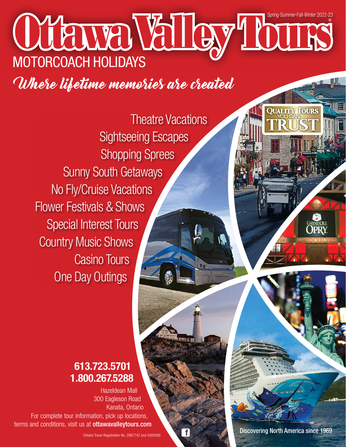# Ottawa Valley Tours ® MOTORCOACH HOLIDAYS Spring-Summer-Fall-Winter 2022-23

Where lifetime memories are created

Theatre Vacations Sightseeing Escapes Shopping Sprees Sunny South Getaways No Fly/Cruise Vacations Flower Festivals & Shows Special Interest Tours Country Music Shows Casino Tours One Day Outings

# 613.723.5701 1.800.267.5288

Hazeldean Mall 300 Eagleson Road Kanata, Ontario For complete tour information, pick up locations, terms and conditions, visit us at ottawavalleytours.com

f

Discovering North America since 1969

**QUALITY TOURS**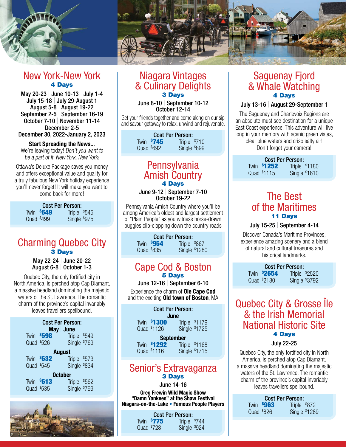

# New York-New York 4 Days

May 20-23 | June 10-13 | July 1-4 July 15-18 | July 29-August 1 August 5-8 | August 19-22 September 2-5 | September 16-19 October 7-10 | November 11-14 December 2-5 December 30, 2022-January 2, 2023

Start Spreading the News...

We're leaving today! Don't you want to be a part of it, New York, New York!

Ottawa's Deluxe Package saves you money and offers exceptional value and quality for a truly fabulous New York holiday experience you'll never forget! It will make you want to come back for more!

#### Cost Per Person: **Twin \$649 649** Triple \$545 Quad  $$499$ 499 Single \$ 975

Charming Quebec City

3 Days May 22-24 | June 20-22 August 6-8 | October 1-3

Quebec City, the only fortified city in North America, is perched atop Cap Diamant, a massive headland dominating the majestic waters of the St. Lawrence. The romantic charm of the province's capital invariably leaves travellers spellbound.

| Cost Per Person:<br>$May$ June |              |  |  |
|--------------------------------|--------------|--|--|
| <b>\$598</b><br>Twin           | Triple \$549 |  |  |
| Quad \$526                     | Single \$769 |  |  |
| <b>August</b>                  |              |  |  |
| \$632<br>Twin                  | Triple \$573 |  |  |
| Quad \$545                     | Single \$834 |  |  |
| <b>October</b>                 |              |  |  |
| \$613<br>Twin                  | Triple \$562 |  |  |
| Quad \$535                     | Single \$799 |  |  |



# Niagara Vintages & Culinary Delights 3 Days

June 8-10 | September 10-12 October 12-14

Get your friends together and come along on our sip and savour getaway to relax, unwind and rejuvenate.

| <b>Cost Per Person:</b> |            |              |  |
|-------------------------|------------|--------------|--|
|                         | Twin \$745 | Triple \$710 |  |
| Quad $$692$             |            | Single \$899 |  |

# **Pennsylvania** Amish Country 4 Days

#### June 9-12 | September 7-10 October 19-22

Pennsylvania Amish Country where you'll be among America's oldest and largest settlement of "Plain People" as you witness horse-drawn buggies clip-clopping down the country roads

> Cost Per Person: **Twin \$954 954** Triple \$867 Quad  $$835$ 835 Single \$ 1280

## Cape Cod & Boston 5 Days

June 12-16 | September 6-10

Experience the charm of Ole Cape Cod and the exciting **Old town of Boston**, MA

| <b>Cost Per Person:</b><br>June |                            |                                |
|---------------------------------|----------------------------|--------------------------------|
|                                 | Twin \$1300<br>Quad \$1126 | Triple \$1179<br>Single \$1725 |
| <b>September</b>                |                            |                                |
|                                 |                            | Twin \$1292 Triple \$1168      |

Quad \$ 1116 Single \$ 1715

# Senior's Extravaganza 3 Days

June 14-16

Greg Frewin Wild Magic Show "Damn Yankees" at the Shaw Festival Niagara-on-the-Lake • Famous People Players

| <b>Cost Per Person:</b>    |              |  |  |
|----------------------------|--------------|--|--|
| Twin \$775<br>Triple \$744 |              |  |  |
| Quad \$728                 | Single \$924 |  |  |

# Saguenay Fjord & Whale Watching 4 Days

#### July 13-16 | August 29-September 1

The Saguenay and Charlevoix Regions are an absolute must see destination for a unique East Coast experience. This adventure will live long in your memory with scenic green vistas. clear blue waters and crisp salty air! Don't forget your camera!

| <b>Cost Per Person:</b> |             |               |  |
|-------------------------|-------------|---------------|--|
|                         | Twin \$1252 | Triple \$1180 |  |
|                         | Quad \$1115 | Single \$1610 |  |

# The Best of the Maritimes 11 Days

#### July 15-25 | September 4-14

Discover Canada's Maritime Provinces, experience amazing scenery and a blend of natural and cultural treasures and historical landmarks.

| <b>Cost Per Person:</b>             |             |  |               |  |
|-------------------------------------|-------------|--|---------------|--|
| Twin <b>\$2654</b><br>Triple \$2520 |             |  |               |  |
|                                     | Quad \$2180 |  | Single \$3792 |  |

# Quebec City & Grosse Île & the Irish Memorial National Historic Site 4 Days

#### July 22-25

Quebec City, the only fortified city in North America, is perched atop Cap Diamant, a massive headland dominating the majestic waters of the St. Lawrence. The romantic charm of the province's capital invariably leaves travellers spellbound.

| <b>Cost Per Person:</b> |            |               |  |
|-------------------------|------------|---------------|--|
|                         | Twin \$963 | Triple \$872  |  |
| Quad $$826$             |            | Single \$1289 |  |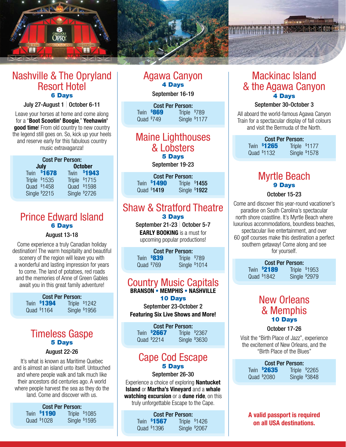

# Nashville & The Opryland Resort Hotel 6 Days

#### July 27-August 1 | October 6-11

Leave your horses at home and come along for a "Boot Scootin' Boogie," Yeehawin' good time! From old country to new country the legend still goes on. So, kick up your heels and reserve early for this fabulous country music extravaganza!

| <b>Cost Per Person:</b> |                           |  |               |
|-------------------------|---------------------------|--|---------------|
| <b>October</b><br>July  |                           |  |               |
|                         | Twin \$1678               |  | Twin \$1943   |
|                         | Triple \$1535             |  | Triple \$1715 |
|                         | Quad \$1458               |  | Quad \$1598   |
|                         | Single <sup>\$</sup> 2215 |  | Single \$2726 |

# Prince Edward Island 6 Days

#### August 13-18

Come experience a truly Canadian holiday destination! The warm hospitality and beautiful scenery of the region will leave you with a wonderful and lasting impression for years to come. The land of potatoes, red roads and the memories of Anne of Green Gables await you in this great family adventure!

| <b>Cost Per Person:</b> |             |               |  |
|-------------------------|-------------|---------------|--|
|                         | Twin \$1394 | Triple \$1242 |  |
|                         | Quad \$1164 | Single \$1956 |  |

# Timeless Gaspe 5 Days

#### August 22-26

It's what is known as Maritime Quebec and is almost an island unto itself. Untouched and where people walk and talk much like their ancestors did centuries ago. A world where people harvest the sea as they do the land. Come and discover with us.

| Cost Per Person: |                    |               |                |
|------------------|--------------------|---------------|----------------|
|                  | <b>Twin \$1190</b> |               | Triple $$1085$ |
|                  | Quad \$1028        | Single \$1595 |                |

# Agawa Canyon 4 Days

#### September 16-19

Cost Per Person: **Twin \$869 869** Triple \$789  $Quad$  \$749 749 Single \$ 1177

# Maine Lighthouses & Lobsters 5 Days

September 19-23

| <b>Cost Per Person:</b> |                    |               |  |
|-------------------------|--------------------|---------------|--|
|                         | <b>Twin \$1490</b> | Triple \$1455 |  |
|                         | Quad \$1419        | Single \$1922 |  |

# Shaw & Stratford Theatre 3 Days

September 21-23 | October 5-7 EARLY BOOKING is a must for upcoming popular productions!

| <b>Cost Per Person:</b> |            |              |  |
|-------------------------|------------|--------------|--|
|                         | Twin \$839 | Triple \$789 |  |
| Quad \$769              |            | Single \$101 |  |

# Country Music Capitals BRANSON • MEMPHIS • NASHVILLE

#### 10 Days

September 23-October 2 Featuring Six Live Shows and More!

Cost Per Person: **Twin \$2667 2667** Triple \$2367 Quad  $$2214$ 2214 Single \$ 3630

# Cape Cod Escape 5 Days

#### September 26-30

Experience a choice of exploring **Nantucket** Island or Martha's Vineyard and a whale watching excursion or a dune ride, on this truly unforgettable Escape to the Cape.

| <b>Cost Per Person:</b> |               |  |
|-------------------------|---------------|--|
| Twin \$1567             | Triple \$1426 |  |
| Quad \$1396             | Single \$2067 |  |

# Mackinac Island & the Agawa Canyon 4 Days

#### September 30-October 3

All aboard the world-famous Agawa Canyon Train for a spectacular display of fall colours and visit the Bermuda of the North.

| <b>Cost Per Person:</b> |                    |               |  |
|-------------------------|--------------------|---------------|--|
|                         | <b>Twin \$1265</b> | Triple \$1177 |  |
|                         | Quad \$1132        | Single \$1578 |  |

# Myrtle Beach 9 Days

#### October 15-23

Come and discover this year-round vacationer's paradise on South Carolina's spectacular north shore coastline. It's Myrtle Beach where luxurious accommodations, boundless beaches, spectacular live entertainment, and over 60 golf courses make this destination a perfect southern getaway! Come along and see for yourself.

| <b>Cost Per Person:</b> |                      |  |
|-------------------------|----------------------|--|
| <b>Twin \$2189</b>      | Triple \$            |  |
| Quad \$1842             | Single <sup>\$</sup> |  |

\$1953 1842 Single \$ 2979

# New Orleans & Memphis 10 Days

October 17-26

Visit the "Birth Place of Jazz", experience the excitement of New Orleans, and the "Birth Place of the Blues"

| <b>Cost Per Person:</b> |             |                |
|-------------------------|-------------|----------------|
|                         | Twin \$2635 | Triple \$2265  |
|                         | Quad \$2080 | Single $$3848$ |

A valid passport is required on all USA destinations.

| \$769 | Single \$1014   | 111 |
|-------|-----------------|-----|
|       | try Mucic Canit |     |

**1419** Single  $$$ 1922